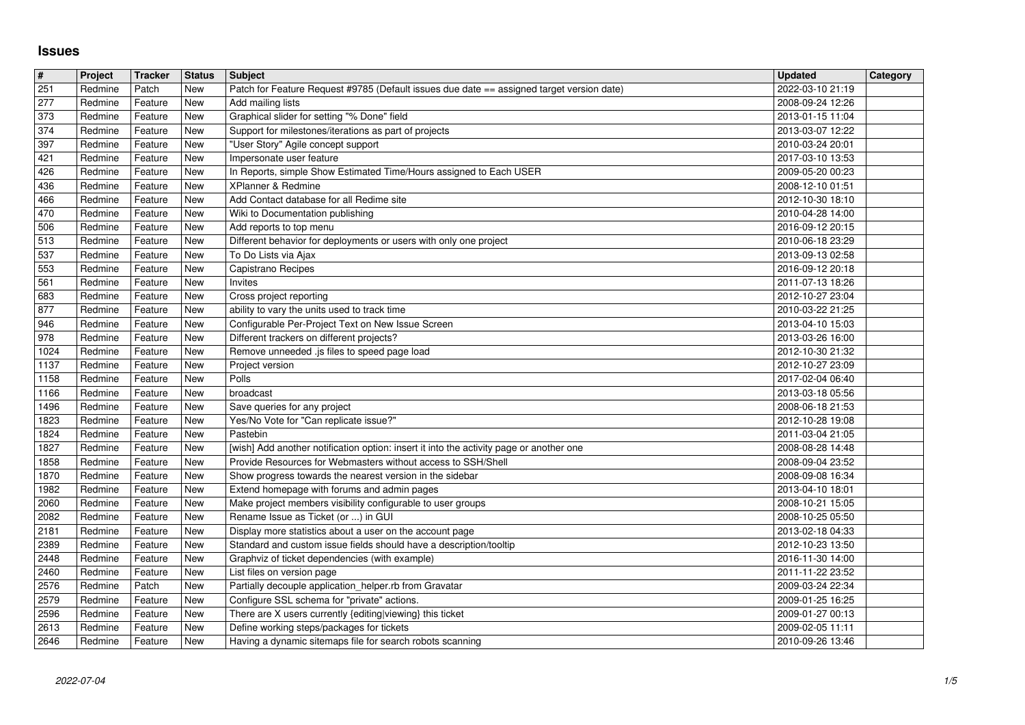## **Issues**

| $\#$         | Project            | Tracker            | <b>Status</b> | Subject                                                                                                                        | <b>Updated</b>                       | Category |
|--------------|--------------------|--------------------|---------------|--------------------------------------------------------------------------------------------------------------------------------|--------------------------------------|----------|
| 251<br>277   | Redmine<br>Redmine | Patch<br>Feature   | New<br>New    | Patch for Feature Request #9785 (Default issues due date == assigned target version date)<br>Add mailing lists                 | 2022-03-10 21:19<br>2008-09-24 12:26 |          |
| 373          | Redmine            | Feature            | New           | Graphical slider for setting "% Done" field                                                                                    | 2013-01-15 11:04                     |          |
| 374          | Redmine            | Feature            | New           | Support for milestones/iterations as part of projects                                                                          | 2013-03-07 12:22                     |          |
| 397<br>421   | Redmine<br>Redmine | Feature<br>Feature | New<br>New    | "User Story" Agile concept support<br>Impersonate user feature                                                                 | 2010-03-24 20:01<br>2017-03-10 13:53 |          |
| 426          | Redmine            | Feature            | New           | In Reports, simple Show Estimated Time/Hours assigned to Each USER                                                             | 2009-05-20 00:23                     |          |
| 436          | Redmine            | Feature            | New           | XPlanner & Redmine                                                                                                             | 2008-12-10 01:51                     |          |
| 466<br>470   | Redmine<br>Redmine | Feature<br>Feature | New<br>New    | Add Contact database for all Redime site<br>Wiki to Documentation publishing                                                   | 2012-10-30 18:10<br>2010-04-28 14:00 |          |
| 506          | Redmine            | Feature            | New           | Add reports to top menu                                                                                                        | 2016-09-12 20:15                     |          |
| 513<br>537   | Redmine<br>Redmine | Feature<br>Feature | New<br>New    | Different behavior for deployments or users with only one project<br>To Do Lists via Ajax                                      | 2010-06-18 23:29<br>2013-09-13 02:58 |          |
| 553          | Redmine            | Feature            | New           | Capistrano Recipes                                                                                                             | 2016-09-12 20:18                     |          |
| 561          | Redmine            | Feature            | New           | Invites                                                                                                                        | 2011-07-13 18:26                     |          |
| 683<br>877   | Redmine<br>Redmine | Feature<br>Feature | New<br>New    | Cross project reporting<br>ability to vary the units used to track time                                                        | 2012-10-27 23:04<br>2010-03-22 21:25 |          |
| 946          | Redmine            | Feature            | New           | Configurable Per-Project Text on New Issue Screen                                                                              | 2013-04-10 15:03                     |          |
| 978<br>1024  | Redmine<br>Redmine | Feature<br>Feature | New<br>New    | Different trackers on different projects?<br>Remove unneeded .js files to speed page load                                      | 2013-03-26 16:00<br>2012-10-30 21:32 |          |
| 1137         | Redmine            | Feature            | New           | Project version                                                                                                                | 2012-10-27 23:09                     |          |
| 1158         | Redmine            | Feature            | New           | Polls<br>broadcast                                                                                                             | 2017-02-04 06:40                     |          |
| 1166<br>1496 | Redmine<br>Redmine | Feature<br>Feature | New<br>New    | Save queries for any project                                                                                                   | 2013-03-18 05:56<br>2008-06-18 21:53 |          |
| 1823         | Redmine            | Feature            | New           | Yes/No Vote for "Can replicate issue?"                                                                                         | 2012-10-28 19:08                     |          |
| 1824<br>1827 | Redmine<br>Redmine | Feature<br>Feature | New<br>New    | Pastebin<br>[wish] Add another notification option: insert it into the activity page or another one                            | 2011-03-04 21:05<br>2008-08-28 14:48 |          |
| 1858         | Redmine            | Feature            | New           | Provide Resources for Webmasters without access to SSH/Shell                                                                   | 2008-09-04 23:52                     |          |
| 1870         | Redmine            | Feature            | New           | Show progress towards the nearest version in the sidebar                                                                       | 2008-09-08 16:34                     |          |
| 1982<br>2060 | Redmine<br>Redmine | Feature<br>Feature | New<br>New    | Extend homepage with forums and admin pages<br>Make project members visibility configurable to user groups                     | 2013-04-10 18:01<br>2008-10-21 15:05 |          |
| 2082         | Redmine            | Feature            | New           | Rename Issue as Ticket (or ) in GUI                                                                                            | 2008-10-25 05:50                     |          |
| 2181<br>2389 | Redmine<br>Redmine | Feature<br>Feature | New<br>New    | Display more statistics about a user on the account page<br>Standard and custom issue fields should have a description/tooltip | 2013-02-18 04:33<br>2012-10-23 13:50 |          |
| 2448         | Redmine            | Feature            | New           | Graphviz of ticket dependencies (with example)                                                                                 | 2016-11-30 14:00                     |          |
| 2460         | Redmine            | Feature            | New           | List files on version page                                                                                                     | 2011-11-22 23:52                     |          |
| 2576<br>2579 | Redmine<br>Redmine | Patch<br>Feature   | New<br>New    | Partially decouple application_helper.rb from Gravatar<br>Configure SSL schema for "private" actions.                          | 2009-03-24 22:34<br>2009-01-25 16:25 |          |
| 2596         | Redmine Feature    |                    | New           | There are X users currently {editing viewing} this ticket                                                                      | 2009-01-27 00:13                     |          |
| 2613<br>2646 | Redmine<br>Redmine | Feature<br>Feature | New<br>New    | Define working steps/packages for tickets<br>Having a dynamic sitemaps file for search robots scanning                         | 2009-02-05 11:11<br>2010-09-26 13:46 |          |
|              |                    |                    |               |                                                                                                                                |                                      |          |
|              |                    |                    |               |                                                                                                                                |                                      |          |
|              |                    |                    |               |                                                                                                                                |                                      |          |
|              |                    |                    |               |                                                                                                                                |                                      |          |
|              |                    |                    |               |                                                                                                                                |                                      |          |
|              |                    |                    |               |                                                                                                                                |                                      |          |
|              |                    |                    |               |                                                                                                                                |                                      |          |
|              |                    |                    |               |                                                                                                                                |                                      |          |
|              |                    |                    |               |                                                                                                                                |                                      |          |
|              |                    |                    |               |                                                                                                                                |                                      |          |
|              |                    |                    |               |                                                                                                                                |                                      |          |
|              |                    |                    |               |                                                                                                                                |                                      |          |
|              |                    |                    |               |                                                                                                                                |                                      |          |
|              |                    |                    |               |                                                                                                                                |                                      |          |
|              |                    |                    |               |                                                                                                                                |                                      |          |
|              |                    |                    |               |                                                                                                                                |                                      |          |
|              |                    |                    |               |                                                                                                                                |                                      |          |
|              |                    |                    |               |                                                                                                                                |                                      |          |
|              |                    |                    |               |                                                                                                                                |                                      |          |
|              |                    |                    |               |                                                                                                                                |                                      |          |
|              |                    |                    |               |                                                                                                                                |                                      |          |
|              |                    |                    |               |                                                                                                                                |                                      |          |
|              |                    |                    |               |                                                                                                                                |                                      |          |
|              |                    |                    |               |                                                                                                                                |                                      |          |
|              |                    |                    |               |                                                                                                                                |                                      |          |
|              |                    |                    |               |                                                                                                                                |                                      |          |
|              |                    |                    |               |                                                                                                                                |                                      |          |
|              |                    |                    |               |                                                                                                                                |                                      |          |
|              |                    |                    |               |                                                                                                                                |                                      |          |
|              |                    |                    |               |                                                                                                                                |                                      |          |
|              |                    |                    |               |                                                                                                                                |                                      |          |
|              |                    |                    |               |                                                                                                                                |                                      |          |
|              |                    |                    |               |                                                                                                                                |                                      |          |
|              |                    |                    |               |                                                                                                                                |                                      |          |
|              |                    |                    |               |                                                                                                                                |                                      |          |
|              |                    |                    |               |                                                                                                                                |                                      |          |
|              |                    |                    |               |                                                                                                                                |                                      |          |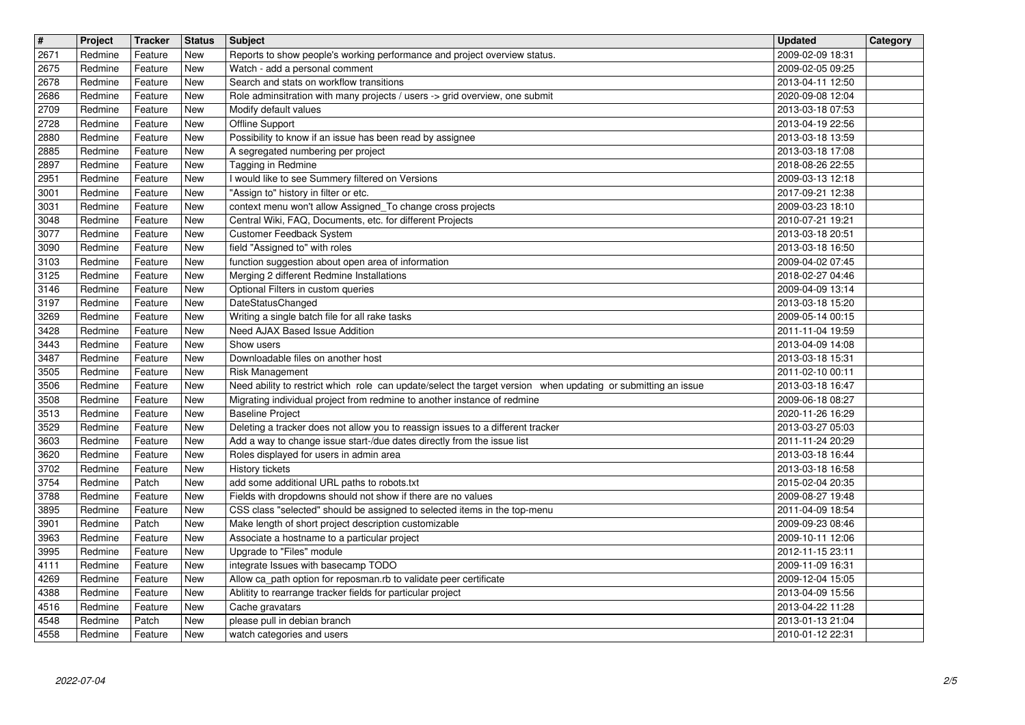| $\overline{\mathbf{H}}$<br>2671 | Project<br>Redmine | <b>Tracker</b><br>Feature | <b>Status</b><br>New | <b>Subject</b>                                                                                                                     | <b>Updated</b><br>2009-02-09 18:31   | Category |
|---------------------------------|--------------------|---------------------------|----------------------|------------------------------------------------------------------------------------------------------------------------------------|--------------------------------------|----------|
| 2675                            | Redmine            | Feature                   | New                  | Reports to show people's working performance and project overview status.<br>Watch - add a personal comment                        | 2009-02-05 09:25                     |          |
| 2678<br>2686                    | Redmine<br>Redmine | Feature<br>Feature        | New<br>New           | Search and stats on workflow transitions<br>Role adminsitration with many projects / users -> grid overview, one submit            | 2013-04-11 12:50<br>2020-09-08 12:04 |          |
| 2709                            | Redmine            | Feature                   | New                  | Modify default values                                                                                                              | 2013-03-18 07:53                     |          |
| 2728<br>2880                    | Redmine<br>Redmine | Feature<br>Feature        | New<br>New           | Offline Support<br>Possibility to know if an issue has been read by assignee                                                       | 2013-04-19 22:56<br>2013-03-18 13:59 |          |
| 2885                            | Redmine            | Feature                   | New                  | A segregated numbering per project<br>Tagging in Redmine                                                                           | 2013-03-18 17:08                     |          |
| 2897<br>2951                    | Redmine<br>Redmine | Feature<br>Feature        | New<br><b>New</b>    | I would like to see Summery filtered on Versions                                                                                   | 2018-08-26 22:55<br>2009-03-13 12:18 |          |
| 3001<br>3031                    | Redmine<br>Redmine | Feature<br>Feature        | New<br>New           | "Assign to" history in filter or etc.<br>context menu won't allow Assigned_To change cross projects                                | 2017-09-21 12:38<br>2009-03-23 18:10 |          |
| 3048                            | Redmine            | Feature                   | New                  | Central Wiki, FAQ, Documents, etc. for different Projects                                                                          | 2010-07-21 19:21                     |          |
| 3077<br>3090                    | Redmine<br>Redmine | Feature<br>Feature        | New<br>New           | Customer Feedback System<br>field "Assigned to" with roles                                                                         | 2013-03-18 20:51<br>2013-03-18 16:50 |          |
| 3103<br>3125                    | Redmine<br>Redmine | Feature<br>Feature        | New<br>New           | function suggestion about open area of information<br>Merging 2 different Redmine Installations                                    | 2009-04-02 07:45<br>2018-02-27 04:46 |          |
| 3146                            | Redmine            | Feature                   | New                  | Optional Filters in custom queries                                                                                                 | 2009-04-09 13:14                     |          |
| 3197<br>3269                    | Redmine<br>Redmine | Feature<br>Feature        | New<br>New           | <b>DateStatusChanged</b><br>Writing a single batch file for all rake tasks                                                         | 2013-03-18 15:20<br>2009-05-14 00:15 |          |
| 3428<br>3443                    | Redmine<br>Redmine | Feature<br>Feature        | New<br>New           | Need AJAX Based Issue Addition<br>Show users                                                                                       | 2011-11-04 19:59<br>2013-04-09 14:08 |          |
| 3487                            | Redmine            | Feature                   | New                  | Downloadable files on another host                                                                                                 | 2013-03-18 15:31                     |          |
| 3505<br>3506                    | Redmine<br>Redmine | Feature<br>Feature        | New<br>New           | Risk Management<br>Need ability to restrict which role can update/select the target version when updating or submitting an issue   | 2011-02-10 00:11<br>2013-03-18 16:47 |          |
| 3508<br>3513                    | Redmine<br>Redmine | Feature<br>Feature        | New<br>New           | Migrating individual project from redmine to another instance of redmine<br><b>Baseline Project</b>                                | 2009-06-18 08:27<br>2020-11-26 16:29 |          |
| 3529                            | Redmine            | Feature                   | New                  | Deleting a tracker does not allow you to reassign issues to a different tracker                                                    | 2013-03-27 05:03                     |          |
| 3603<br>3620                    | Redmine<br>Redmine | Feature<br>Feature        | New<br>New           | Add a way to change issue start-/due dates directly from the issue list<br>Roles displayed for users in admin area                 | 2011-11-24 20:29<br>2013-03-18 16:44 |          |
| 3702<br>3754                    | Redmine<br>Redmine | Feature<br>Patch          | New<br>New           | History tickets<br>add some additional URL paths to robots.txt                                                                     | 2013-03-18 16:58<br>2015-02-04 20:35 |          |
| 3788                            | Redmine            | Feature                   | New                  | Fields with dropdowns should not show if there are no values                                                                       | 2009-08-27 19:48                     |          |
| 3895<br>3901                    | Redmine<br>Redmine | Feature<br>Patch          | New<br>New           | CSS class "selected" should be assigned to selected items in the top-menu<br>Make length of short project description customizable | 2011-04-09 18:54<br>2009-09-23 08:46 |          |
| 3963<br>3995                    | Redmine<br>Redmine | Feature<br>Feature        | New<br>New           | Associate a hostname to a particular project                                                                                       | 2009-10-11 12:06<br>2012-11-15 23:11 |          |
| 4111                            | Redmine            | Feature                   | New                  | Upgrade to "Files" module<br>integrate Issues with basecamp TODO                                                                   | 2009-11-09 16:31                     |          |
| 4269<br>4388                    | Redmine<br>Redmine | Feature<br>Feature        | New<br>New           | Allow ca_path option for reposman.rb to validate peer certificate<br>Ablitity to rearrange tracker fields for particular project   | 2009-12-04 15:05<br>2013-04-09 15:56 |          |
| 4516<br>4548                    | Redmine<br>Redmine | Feature<br>Patch          | New<br>New           | Cache gravatars<br>please pull in debian branch                                                                                    | 2013-04-22 11:28<br>2013-01-13 21:04 |          |
| 4558                            | Redmine            | Feature                   | New                  | watch categories and users                                                                                                         | 2010-01-12 22:31                     |          |
|                                 |                    |                           |                      |                                                                                                                                    |                                      |          |
|                                 |                    |                           |                      |                                                                                                                                    |                                      |          |
|                                 |                    |                           |                      |                                                                                                                                    |                                      |          |
|                                 |                    |                           |                      |                                                                                                                                    |                                      |          |
|                                 |                    |                           |                      |                                                                                                                                    |                                      |          |
|                                 |                    |                           |                      |                                                                                                                                    |                                      |          |
|                                 |                    |                           |                      |                                                                                                                                    |                                      |          |
|                                 |                    |                           |                      |                                                                                                                                    |                                      |          |
|                                 |                    |                           |                      |                                                                                                                                    |                                      |          |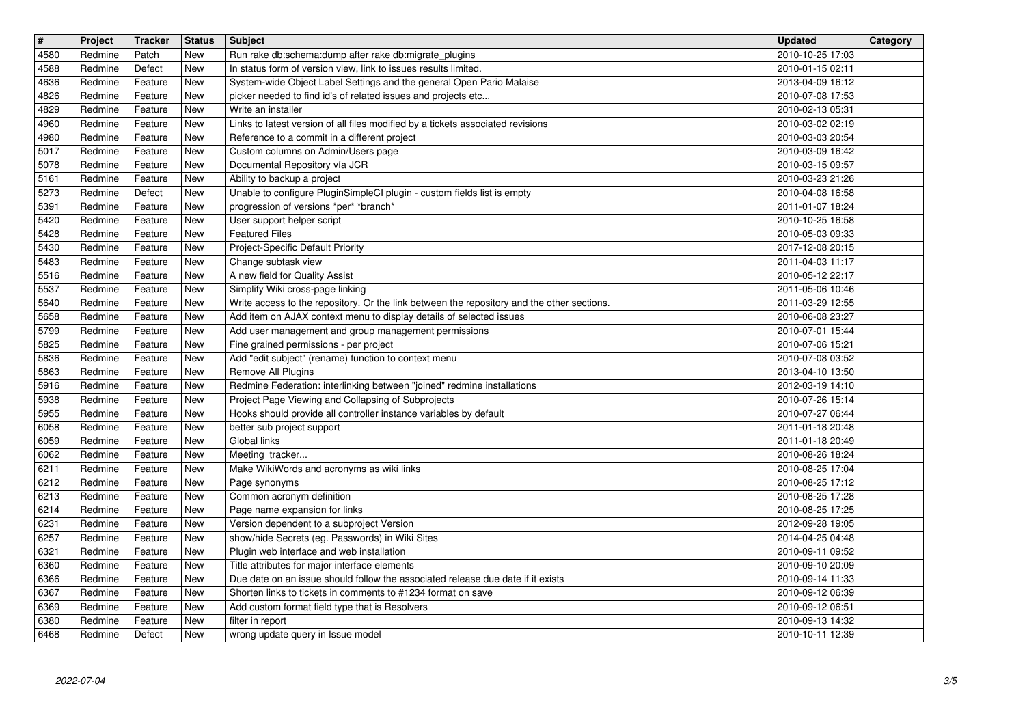| $\overline{\mathbf{H}}$<br>4580 | Project<br>Redmine | <b>Tracker</b><br>Patch | <b>Status</b><br><b>New</b> | <b>Subject</b><br>Run rake db:schema:dump after rake db:migrate_plugins                                                                                           | <b>Updated</b><br>2010-10-25 17:03   | Category |
|---------------------------------|--------------------|-------------------------|-----------------------------|-------------------------------------------------------------------------------------------------------------------------------------------------------------------|--------------------------------------|----------|
| 4588                            | Redmine            | Defect                  | New                         | In status form of version view, link to issues results limited.                                                                                                   | 2010-01-15 02:11                     |          |
| 4636<br>4826                    | Redmine<br>Redmine | Feature<br>Feature      | New<br>New                  | System-wide Object Label Settings and the general Open Pario Malaise<br>picker needed to find id's of related issues and projects etc                             | 2013-04-09 16:12<br>2010-07-08 17:53 |          |
| 4829                            | Redmine            | Feature                 | New                         | Write an installer                                                                                                                                                | 2010-02-13 05:31                     |          |
| 4960<br>4980                    | Redmine<br>Redmine | Feature<br>Feature      | New<br>New                  | Links to latest version of all files modified by a tickets associated revisions<br>Reference to a commit in a different project                                   | 2010-03-02 02:19<br>2010-03-03 20:54 |          |
| 5017<br>5078                    | Redmine<br>Redmine | Feature<br>Feature      | New<br>New                  | Custom columns on Admin/Users page<br>Documental Repository vía JCR                                                                                               | 2010-03-09 16:42<br>2010-03-15 09:57 |          |
| 5161                            | Redmine            | Feature                 | New                         | Ability to backup a project                                                                                                                                       | 2010-03-23 21:26                     |          |
| 5273<br>5391                    | Redmine<br>Redmine | Defect<br>Feature       | New<br>New                  | Unable to configure PluginSimpleCI plugin - custom fields list is empty<br>progression of versions *per* *branch*                                                 | 2010-04-08 16:58<br>2011-01-07 18:24 |          |
| 5420<br>5428                    | Redmine            | Feature                 | New<br>New                  | User support helper script<br><b>Featured Files</b>                                                                                                               | 2010-10-25 16:58                     |          |
| 5430                            | Redmine<br>Redmine | Feature<br>Feature      | New                         | Project-Specific Default Priority                                                                                                                                 | 2010-05-03 09:33<br>2017-12-08 20:15 |          |
| 5483<br>5516                    | Redmine<br>Redmine | Feature<br>Feature      | New<br>New                  | Change subtask view<br>A new field for Quality Assist                                                                                                             | 2011-04-03 11:17<br>2010-05-12 22:17 |          |
| 5537                            | Redmine            | Feature                 | New                         | Simplify Wiki cross-page linking                                                                                                                                  | 2011-05-06 10:46                     |          |
| 5640<br>5658                    | Redmine<br>Redmine | Feature<br>Feature      | New<br>New                  | Write access to the repository. Or the link between the repository and the other sections.<br>Add item on AJAX context menu to display details of selected issues | 2011-03-29 12:55<br>2010-06-08 23:27 |          |
| 5799<br>5825                    | Redmine<br>Redmine | Feature<br>Feature      | New<br>New                  | Add user management and group management permissions<br>Fine grained permissions - per project                                                                    | 2010-07-01 15:44<br>2010-07-06 15:21 |          |
| 5836                            | Redmine            | Feature                 | New                         | Add "edit subject" (rename) function to context menu                                                                                                              | 2010-07-08 03:52                     |          |
| 5863<br>5916                    | Redmine<br>Redmine | Feature<br>Feature      | New<br>New                  | Remove All Plugins<br>Redmine Federation: interlinking between "joined" redmine installations                                                                     | 2013-04-10 13:50<br>2012-03-19 14:10 |          |
| 5938<br>5955                    | Redmine<br>Redmine | Feature<br>Feature      | New<br>New                  | Project Page Viewing and Collapsing of Subprojects<br>Hooks should provide all controller instance variables by default                                           | 2010-07-26 15:14<br>2010-07-27 06:44 |          |
| 6058                            | Redmine            | Feature                 | <b>New</b>                  | better sub project support                                                                                                                                        | 2011-01-18 20:48                     |          |
| 6059<br>6062                    | Redmine<br>Redmine | Feature<br>Feature      | New<br>New                  | Global links<br>Meeting tracker                                                                                                                                   | 2011-01-18 20:49<br>2010-08-26 18:24 |          |
| 6211                            | Redmine            | Feature                 | New                         | Make WikiWords and acronyms as wiki links                                                                                                                         | 2010-08-25 17:04                     |          |
| 6212<br>6213                    | Redmine<br>Redmine | Feature<br>Feature      | New<br>New                  | Page synonyms<br>Common acronym definition                                                                                                                        | 2010-08-25 17:12<br>2010-08-25 17:28 |          |
| 6214<br>6231                    | Redmine<br>Redmine | Feature<br>Feature      | New<br>New                  | Page name expansion for links<br>Version dependent to a subproject Version                                                                                        | 2010-08-25 17:25<br>2012-09-28 19:05 |          |
| 6257                            | Redmine            | Feature                 | New                         | show/hide Secrets (eg. Passwords) in Wiki Sites                                                                                                                   | 2014-04-25 04:48                     |          |
| 6321<br>6360                    | Redmine<br>Redmine | Feature<br>Feature      | New<br>New                  | Plugin web interface and web installation<br>Title attributes for major interface elements                                                                        | 2010-09-11 09:52<br>2010-09-10 20:09 |          |
| 6366<br>6367                    | Redmine<br>Redmine | Feature<br>Feature      | New<br>New                  | Due date on an issue should follow the associated release due date if it exists<br>Shorten links to tickets in comments to #1234 format on save                   | 2010-09-14 11:33<br>2010-09-12 06:39 |          |
| 6369                            | Redmine            | Feature                 | New                         | Add custom format field type that is Resolvers                                                                                                                    | 2010-09-12 06:51                     |          |
| 6380<br>6468                    | Redmine<br>Redmine | Feature<br>Defect       | New<br>New                  | filter in report<br>wrong update query in Issue model                                                                                                             | 2010-09-13 14:32<br>2010-10-11 12:39 |          |
|                                 |                    |                         |                             |                                                                                                                                                                   |                                      |          |
|                                 |                    |                         |                             |                                                                                                                                                                   |                                      |          |
|                                 |                    |                         |                             |                                                                                                                                                                   |                                      |          |
|                                 |                    |                         |                             |                                                                                                                                                                   |                                      |          |
|                                 |                    |                         |                             |                                                                                                                                                                   |                                      |          |
|                                 |                    |                         |                             |                                                                                                                                                                   |                                      |          |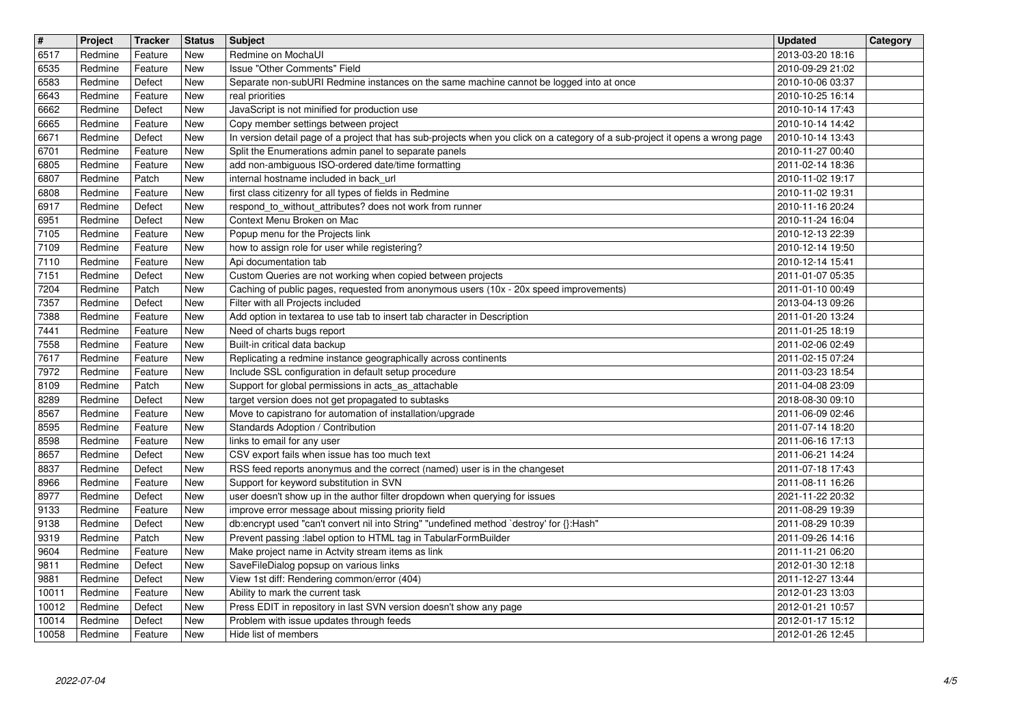| $\sqrt{t}$<br>6517 | Project<br>Redmine | Tracker<br>Feature | <b>Status</b><br>New | <b>Subject</b><br>Redmine on MochaUI                                                                                                                                  | <b>Updated</b><br>2013-03-20 18:16   | Category |
|--------------------|--------------------|--------------------|----------------------|-----------------------------------------------------------------------------------------------------------------------------------------------------------------------|--------------------------------------|----------|
| 6535               | Redmine            | Feature            | New                  | <b>Issue "Other Comments" Field</b>                                                                                                                                   | 2010-09-29 21:02                     |          |
| 6583<br>6643       | Redmine<br>Redmine | Defect<br>Feature  | New<br>New           | Separate non-subURI Redmine instances on the same machine cannot be logged into at once<br>real priorities                                                            | 2010-10-06 03:37<br>2010-10-25 16:14 |          |
| 6662               | Redmine            | Defect             | New                  | JavaScript is not minified for production use                                                                                                                         | 2010-10-14 17:43                     |          |
| 6665<br>6671       | Redmine<br>Redmine | Feature<br>Defect  | New<br>New           | Copy member settings between project<br>In version detail page of a project that has sub-projects when you click on a category of a sub-project it opens a wrong page | 2010-10-14 14:42<br>2010-10-14 13:43 |          |
| 6701               | Redmine            | Feature            | New                  | Split the Enumerations admin panel to separate panels                                                                                                                 | 2010-11-27 00:40                     |          |
| 6805<br>6807       | Redmine<br>Redmine | Feature<br>Patch   | New<br><b>New</b>    | add non-ambiguous ISO-ordered date/time formatting<br>internal hostname included in back_url                                                                          | 2011-02-14 18:36<br>2010-11-02 19:17 |          |
| 6808<br>6917       | Redmine<br>Redmine | Feature<br>Defect  | New<br>New           | first class citizenry for all types of fields in Redmine<br>respond_to_without_attributes? does not work from runner                                                  | 2010-11-02 19:31<br>2010-11-16 20:24 |          |
| 6951               | Redmine            | Defect             | New                  | Context Menu Broken on Mac                                                                                                                                            | 2010-11-24 16:04                     |          |
| 7105<br>7109       | Redmine<br>Redmine | Feature<br>Feature | New<br>New           | Popup menu for the Projects link<br>how to assign role for user while registering?                                                                                    | 2010-12-13 22:39<br>2010-12-14 19:50 |          |
| 7110               | Redmine            | Feature            | New                  | Api documentation tab                                                                                                                                                 | 2010-12-14 15:41                     |          |
| 7151<br>7204       | Redmine<br>Redmine | Defect<br>Patch    | New<br><b>New</b>    | Custom Queries are not working when copied between projects<br>Caching of public pages, requested from anonymous users (10x - 20x speed improvements)                 | 2011-01-07 05:35<br>2011-01-10 00:49 |          |
| 7357               | Redmine<br>Redmine | Defect<br>Feature  | New<br>New           | Filter with all Projects included                                                                                                                                     | 2013-04-13 09:26                     |          |
| 7388<br>7441       | Redmine            | Feature            | New                  | Add option in textarea to use tab to insert tab character in Description<br>Need of charts bugs report                                                                | 2011-01-20 13:24<br>2011-01-25 18:19 |          |
| 7558<br>7617       | Redmine<br>Redmine | Feature<br>Feature | New<br>New           | Built-in critical data backup<br>Replicating a redmine instance geographically across continents                                                                      | 2011-02-06 02:49<br>2011-02-15 07:24 |          |
| 7972               | Redmine            | Feature            | New                  | Include SSL configuration in default setup procedure                                                                                                                  | 2011-03-23 18:54                     |          |
| 8109<br>8289       | Redmine<br>Redmine | Patch<br>Defect    | New<br>New           | Support for global permissions in acts_as_attachable<br>target version does not get propagated to subtasks                                                            | 2011-04-08 23:09<br>2018-08-30 09:10 |          |
| 8567<br>8595       | Redmine<br>Redmine | Feature<br>Feature | New<br><b>New</b>    | Move to capistrano for automation of installation/upgrade<br>Standards Adoption / Contribution                                                                        | 2011-06-09 02:46<br>2011-07-14 18:20 |          |
| 8598               | Redmine            | Feature            | New                  | links to email for any user                                                                                                                                           | 2011-06-16 17:13                     |          |
| 8657<br>8837       | Redmine<br>Redmine | Defect<br>Defect   | New<br>New           | CSV export fails when issue has too much text<br>RSS feed reports anonymus and the correct (named) user is in the changeset                                           | 2011-06-21 14:24<br>2011-07-18 17:43 |          |
| 8966               | Redmine            | Feature            | New                  | Support for keyword substitution in SVN                                                                                                                               | 2011-08-11 16:26                     |          |
| 8977<br>9133       | Redmine<br>Redmine | Defect<br>Feature  | New<br>New           | user doesn't show up in the author filter dropdown when querying for issues<br>improve error message about missing priority field                                     | 2021-11-22 20:32<br>2011-08-29 19:39 |          |
| 9138<br>9319       | Redmine<br>Redmine | Defect<br>Patch    | New<br>New           | db:encrypt used "can't convert nil into String" "undefined method `destroy' for {}:Hash"<br>Prevent passing :label option to HTML tag in TabularFormBuilder           | 2011-08-29 10:39<br>2011-09-26 14:16 |          |
| 9604               | Redmine            | Feature            | New                  | Make project name in Actvity stream items as link                                                                                                                     | 2011-11-21 06:20                     |          |
| 9811<br>9881       | Redmine<br>Redmine | Defect<br>Defect   | New<br>New           | SaveFileDialog popsup on various links<br>View 1st diff: Rendering common/error (404)                                                                                 | 2012-01-30 12:18<br>2011-12-27 13:44 |          |
| 10011<br>10012     | Redmine<br>Redmine | Feature<br>Defect  | New<br>New           | Ability to mark the current task<br>Press EDIT in repository in last SVN version doesn't show any page                                                                | 2012-01-23 13:03<br>2012-01-21 10:57 |          |
| 10014              | Redmine            | Defect             | New                  | Problem with issue updates through feeds                                                                                                                              | 2012-01-17 15:12                     |          |
|                    |                    |                    |                      |                                                                                                                                                                       |                                      |          |
|                    |                    |                    |                      |                                                                                                                                                                       |                                      |          |
|                    |                    |                    |                      |                                                                                                                                                                       |                                      |          |
|                    |                    |                    |                      |                                                                                                                                                                       |                                      |          |
|                    |                    |                    |                      |                                                                                                                                                                       |                                      |          |
|                    |                    |                    |                      |                                                                                                                                                                       |                                      |          |
|                    |                    |                    |                      |                                                                                                                                                                       |                                      |          |